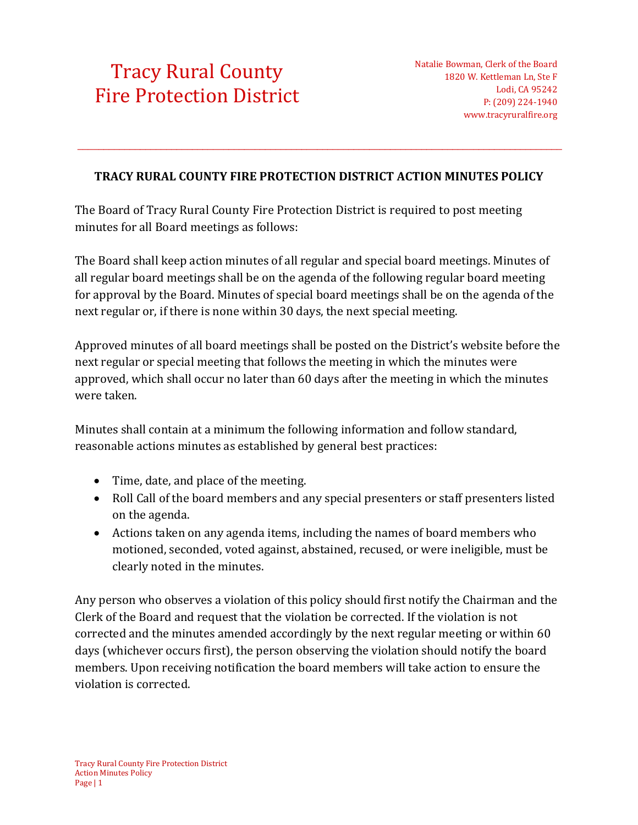## [Tracy Rural County](https://tracyruralfire.org/)  [Fire Protection District](https://tracyruralfire.org/)

## **TRACY RURAL COUNTY FIRE PROTECTION DISTRICT ACTION MINUTES POLICY**

 $\_$  ,  $\_$  ,  $\_$  ,  $\_$  ,  $\_$  ,  $\_$  ,  $\_$  ,  $\_$  ,  $\_$  ,  $\_$  ,  $\_$  ,  $\_$  ,  $\_$  ,  $\_$  ,  $\_$  ,  $\_$  ,  $\_$  ,  $\_$  ,  $\_$  ,  $\_$  ,  $\_$  ,  $\_$  ,  $\_$  ,  $\_$  ,  $\_$  ,  $\_$  ,  $\_$  ,  $\_$  ,  $\_$  ,  $\_$  ,  $\_$  ,  $\_$  ,  $\_$  ,  $\_$  ,  $\_$  ,  $\_$  ,  $\_$  ,

The Board of Tracy Rural County Fire Protection District is required to post meeting minutes for all Board meetings as follows:

The Board shall keep action minutes of all regular and special board meetings. Minutes of all regular board meetings shall be on the agenda of the following regular board meeting for approval by the Board. Minutes of special board meetings shall be on the agenda of the next regular or, if there is none within 30 days, the next special meeting.

Approved minutes of all board meetings shall be posted on the District's website before the next regular or special meeting that follows the meeting in which the minutes were approved, which shall occur no later than 60 days after the meeting in which the minutes were taken.

Minutes shall contain at a minimum the following information and follow standard, reasonable actions minutes as established by general best practices:

- Time, date, and place of the meeting.
- Roll Call of the board members and any special presenters or staff presenters listed on the agenda.
- Actions taken on any agenda items, including the names of board members who motioned, seconded, voted against, abstained, recused, or were ineligible, must be clearly noted in the minutes.

Any person who observes a violation of this policy should first notify the Chairman and the Clerk of the Board and request that the violation be corrected. If the violation is not corrected and the minutes amended accordingly by the next regular meeting or within 60 days (whichever occurs first), the person observing the violation should notify the board members. Upon receiving notification the board members will take action to ensure the violation is corrected.